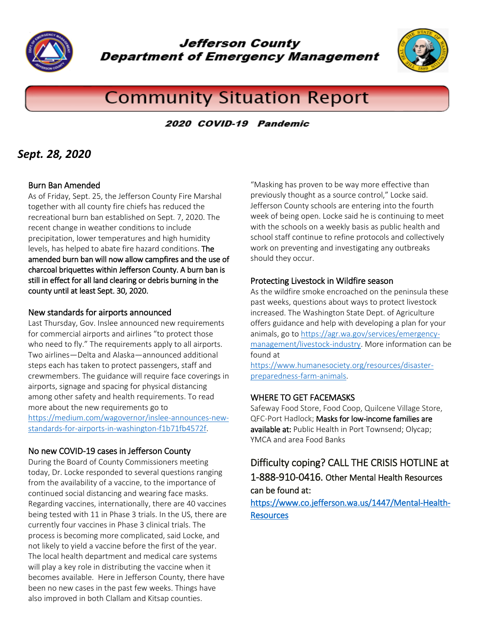

Jefferson County **Department of Emergency Management** 



# **Community Situation Report**

### 2020 COVID-19 Pandemic

### *Sept. 28, 2020*

#### Burn Ban Amended

As of Friday, Sept. 25, the Jefferson County Fire Marshal together with all county fire chiefs has reduced the recreational burn ban established on Sept. 7, 2020. The recent change in weather conditions to include precipitation, lower temperatures and high humidity levels, has helped to abate fire hazard conditions. The amended burn ban will now allow campfires and the use of charcoal briquettes within Jefferson County. A burn ban is still in effect for all land clearing or debris burning in the county until at least Sept. 30, 2020.

#### New standards for airports announced

Last Thursday, Gov. Inslee announced new requirements for commercial airports and airlines "to protect those who need to fly." The requirements apply to all airports. Two airlines—Delta and Alaska—announced additional steps each has taken to protect passengers, staff and crewmembers. The guidance will require face coverings in airports, signage and spacing for physical distancing among other safety and health requirements. To read more about the new requirements go to [https://medium.com/wagovernor/inslee-announces-new](https://medium.com/wagovernor/inslee-announces-new-standards-for-airports-in-washington-f1b71fb4572f)[standards-for-airports-in-washington-f1b71fb4572f.](https://medium.com/wagovernor/inslee-announces-new-standards-for-airports-in-washington-f1b71fb4572f)

### No new COVID-19 cases in Jefferson County

During the Board of County Commissioners meeting today, Dr. Locke responded to several questions ranging from the availability of a vaccine, to the importance of continued social distancing and wearing face masks. Regarding vaccines, internationally, there are 40 vaccines being tested with 11 in Phase 3 trials. In the US, there are currently four vaccines in Phase 3 clinical trials. The process is becoming more complicated, said Locke, and not likely to yield a vaccine before the first of the year. The local health department and medical care systems will play a key role in distributing the vaccine when it becomes available. Here in Jefferson County, there have been no new cases in the past few weeks. Things have also improved in both Clallam and Kitsap counties.

"Masking has proven to be way more effective than previously thought as a source control," Locke said. Jefferson County schools are entering into the fourth week of being open. Locke said he is continuing to meet with the schools on a weekly basis as public health and school staff continue to refine protocols and collectively work on preventing and investigating any outbreaks should they occur.

#### Protecting Livestock in Wildfire season

As the wildfire smoke encroached on the peninsula these past weeks, questions about ways to protect livestock increased. The Washington State Dept. of Agriculture offers guidance and help with developing a plan for your animals, go to [https://agr.wa.gov/services/emergency](https://agr.wa.gov/services/emergency-management/livestock-industry)[management/livestock-industry.](https://agr.wa.gov/services/emergency-management/livestock-industry) More information can be found at

[https://www.humanesociety.org/resources/disaster](https://www.humanesociety.org/resources/disaster-preparedness-farm-animals)[preparedness-farm-animals.](https://www.humanesociety.org/resources/disaster-preparedness-farm-animals)

### WHERE TO GET FACEMASKS

Safeway Food Store, Food Coop, Quilcene Village Store, QFC-Port Hadlock; Masks for low-income families are available at: Public Health in Port Townsend; Olycap; YMCA and area Food Banks

### Difficulty coping? CALL THE CRISIS HOTLINE at 1-888-910-0416. Other Mental Health Resources can be found at:

### [https://www.co.jefferson.wa.us/1447/Mental-Health-](https://www.co.jefferson.wa.us/1447/Mental-Health-Resources)**Resources**